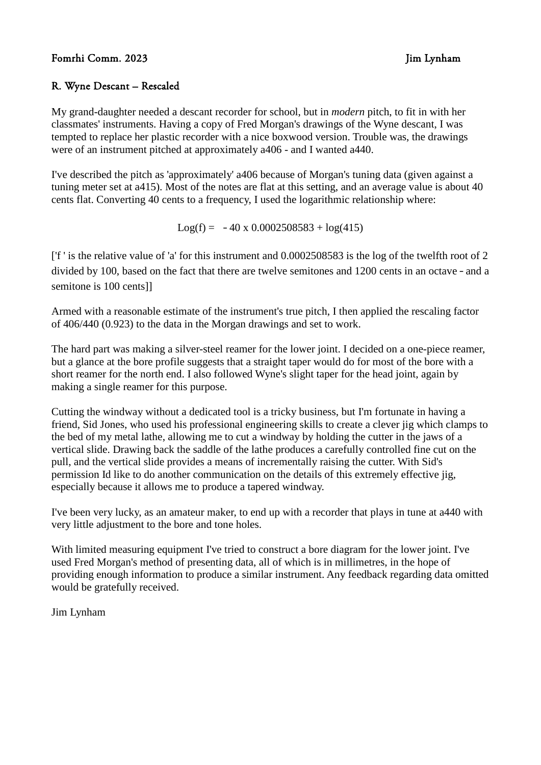## R. Wyne Descant – Rescaled

My grand-daughter needed a descant recorder for school, but in *modern* pitch, to fit in with her classmates' instruments. Having a copy of Fred Morgan's drawings of the Wyne descant, I was tempted to replace her plastic recorder with a nice boxwood version. Trouble was, the drawings were of an instrument pitched at approximately a406 - and I wanted a440.

I've described the pitch as 'approximately' a406 because of Morgan's tuning data (given against a tuning meter set at a415). Most of the notes are flat at this setting, and an average value is about 40 cents flat. Converting 40 cents to a frequency, I used the logarithmic relationship where:

 $Log(f) = -40 \times 0.0002508583 + log(415)$ 

['f ' is the relative value of 'a' for this instrument and 0.0002508583 is the log of the twelfth root of 2 divided by 100, based on the fact that there are twelve semitones and 1200 cents in an octave – and a semitone is 100 cents]]

Armed with a reasonable estimate of the instrument's true pitch, I then applied the rescaling factor of 406/440 (0.923) to the data in the Morgan drawings and set to work.

The hard part was making a silver-steel reamer for the lower joint. I decided on a one-piece reamer, but a glance at the bore profile suggests that a straight taper would do for most of the bore with a short reamer for the north end. I also followed Wyne's slight taper for the head joint, again by making a single reamer for this purpose.

Cutting the windway without a dedicated tool is a tricky business, but I'm fortunate in having a friend, Sid Jones, who used his professional engineering skills to create a clever jig which clamps to the bed of my metal lathe, allowing me to cut a windway by holding the cutter in the jaws of a vertical slide. Drawing back the saddle of the lathe produces a carefully controlled fine cut on the pull, and the vertical slide provides a means of incrementally raising the cutter. With Sid's permission Id like to do another communication on the details of this extremely effective jig, especially because it allows me to produce a tapered windway.

I've been very lucky, as an amateur maker, to end up with a recorder that plays in tune at a440 with very little adjustment to the bore and tone holes.

With limited measuring equipment I've tried to construct a bore diagram for the lower joint. I've used Fred Morgan's method of presenting data, all of which is in millimetres, in the hope of providing enough information to produce a similar instrument. Any feedback regarding data omitted would be gratefully received.

Jim Lynham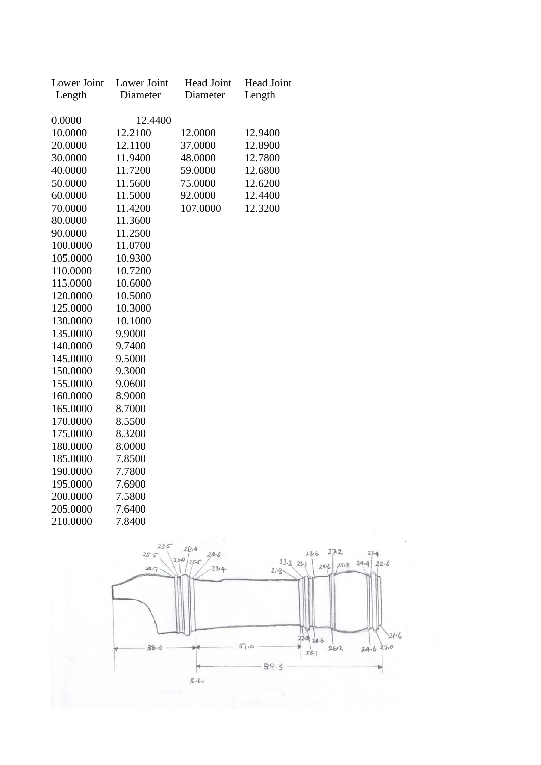| Lower Joint | Lower Joint | <b>Head Joint</b> | <b>Head Joint</b> |
|-------------|-------------|-------------------|-------------------|
| Length      | Diameter    | Diameter          | Length            |
|             |             |                   |                   |
| 0.0000      | 12.4400     |                   |                   |
| 10.0000     | 12.2100     | 12.0000           | 12.9400           |
| 20.0000     | 12.1100     | 37.0000           | 12.8900           |
| 30.0000     | 11.9400     | 48.0000           | 12.7800           |
| 40.0000     | 11.7200     | 59.0000           | 12.6800           |
| 50.0000     | 11.5600     | 75.0000           | 12.6200           |
| 60.0000     | 11.5000     | 92.0000           | 12.4400           |
| 70.0000     | 11.4200     | 107.0000          | 12.3200           |
| 80.0000     | 11.3600     |                   |                   |
| 90.0000     | 11.2500     |                   |                   |
| 100.0000    | 11.0700     |                   |                   |
| 105.0000    | 10.9300     |                   |                   |
| 110.0000    | 10.7200     |                   |                   |
| 115.0000    | 10.6000     |                   |                   |
| 120.0000    | 10.5000     |                   |                   |
| 125.0000    | 10.3000     |                   |                   |
| 130.0000    | 10.1000     |                   |                   |
| 135.0000    | 9.9000      |                   |                   |
| 140.0000    | 9.7400      |                   |                   |
| 145.0000    | 9.5000      |                   |                   |
| 150.0000    | 9.3000      |                   |                   |
| 155.0000    | 9.0600      |                   |                   |
| 160.0000    | 8.9000      |                   |                   |
| 165.0000    | 8.7000      |                   |                   |
| 170.0000    | 8.5500      |                   |                   |
| 175.0000    | 8.3200      |                   |                   |
| 180.0000    | 8.0000      |                   |                   |
| 185.0000    | 7.8500      |                   |                   |
| 190.0000    | 7.7800      |                   |                   |
| 195.0000    | 7.6900      |                   |                   |
| 200.0000    | 7.5800      |                   |                   |
| 205.0000    | 7.6400      |                   |                   |
| 210.0000    | 7.8400      |                   |                   |

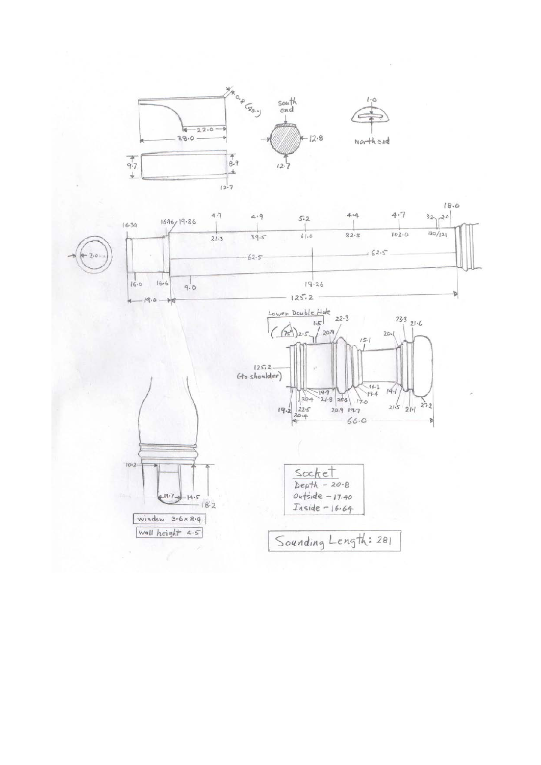